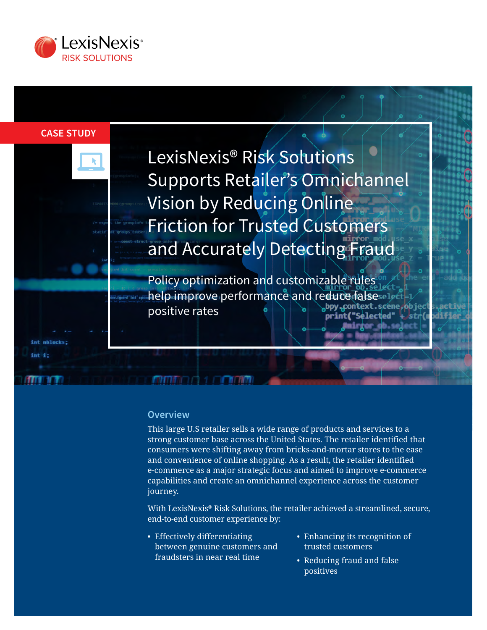

#### **CASE STUDY**

int nblo

LexisNexis® Risk Solutions Supports Retailer's Omnichannel Vision by Reducing Online Friction for Trusted Customers and Accurately Detecting Fraud

Policy optimization and customizable rules help improve performance and reduce falsesel positive rates print(' "Selected"

#### **Overview**

**MARTING A LOCAL DIVID** 

This large U.S retailer sells a wide range of products and services to a strong customer base across the United States. The retailer identified that consumers were shifting away from bricks-and-mortar stores to the ease and convenience of online shopping. As a result, the retailer identified e-commerce as a major strategic focus and aimed to improve e-commerce capabilities and create an omnichannel experience across the customer journey.

With LexisNexis® Risk Solutions, the retailer achieved a streamlined, secure, end-to-end customer experience by:

- Effectively differentiating between genuine customers and fraudsters in near real time
- Enhancing its recognition of trusted customers
- Reducing fraud and false positives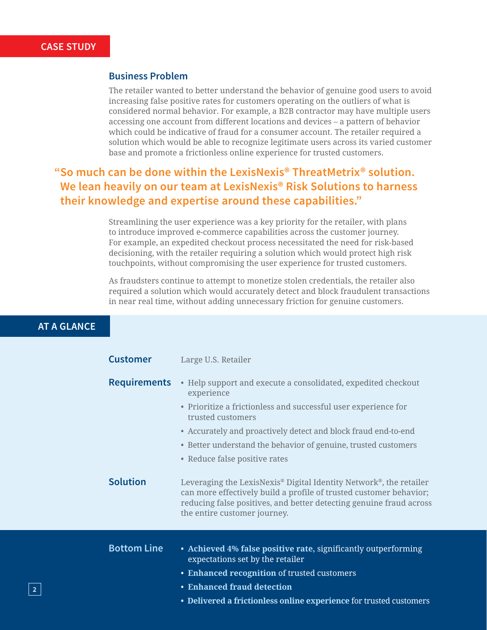### **Business Problem**

The retailer wanted to better understand the behavior of genuine good users to avoid increasing false positive rates for customers operating on the outliers of what is considered normal behavior. For example, a B2B contractor may have multiple users accessing one account from different locations and devices – a pattern of behavior which could be indicative of fraud for a consumer account. The retailer required a solution which would be able to recognize legitimate users across its varied customer base and promote a frictionless online experience for trusted customers.

# **"So much can be done within the LexisNexis® ThreatMetrix® solution. We lean heavily on our team at LexisNexis® Risk Solutions to harness their knowledge and expertise around these capabilities."**

Streamlining the user experience was a key priority for the retailer, with plans to introduce improved e-commerce capabilities across the customer journey. For example, an expedited checkout process necessitated the need for risk-based decisioning, with the retailer requiring a solution which would protect high risk touchpoints, without compromising the user experience for trusted customers.

As fraudsters continue to attempt to monetize stolen credentials, the retailer also required a solution which would accurately detect and block fraudulent transactions in near real time, without adding unnecessary friction for genuine customers.

## **AT A GLANCE**

| <b>Customer</b>     | Large U.S. Retailer                                                                                                                                                                                                                                                                                                                     |
|---------------------|-----------------------------------------------------------------------------------------------------------------------------------------------------------------------------------------------------------------------------------------------------------------------------------------------------------------------------------------|
| <b>Requirements</b> | • Help support and execute a consolidated, expedited checkout<br>experience<br>• Prioritize a frictionless and successful user experience for<br>trusted customers<br>• Accurately and proactively detect and block fraud end-to-end<br>• Better understand the behavior of genuine, trusted customers<br>• Reduce false positive rates |
| <b>Solution</b>     | Leveraging the LexisNexis® Digital Identity Network®, the retailer<br>can more effectively build a profile of trusted customer behavior;<br>reducing false positives, and better detecting genuine fraud across<br>the entire customer journey.                                                                                         |
| <b>Bottom Line</b>  | • Achieved 4% false positive rate, significantly outperforming<br>expectations set by the retailer<br>• Enhanced recognition of trusted customers<br>• Enhanced fraud detection<br>• Delivered a frictionless online experience for trusted customers                                                                                   |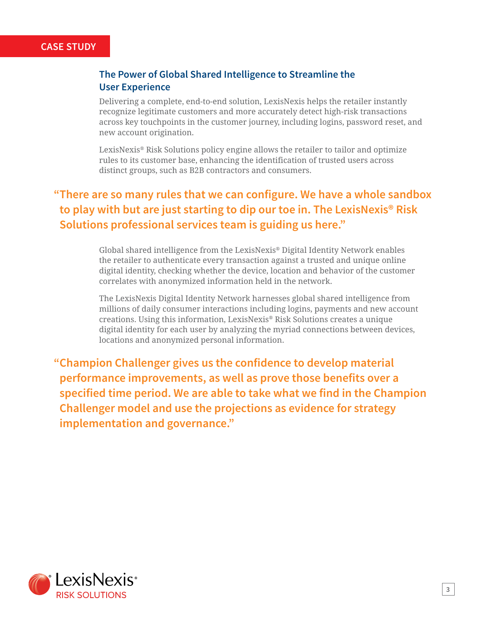### **CASE STUDY**

## **The Power of Global Shared Intelligence to Streamline the User Experience**

Delivering a complete, end-to-end solution, LexisNexis helps the retailer instantly recognize legitimate customers and more accurately detect high-risk transactions across key touchpoints in the customer journey, including logins, password reset, and new account origination.

LexisNexis® Risk Solutions policy engine allows the retailer to tailor and optimize rules to its customer base, enhancing the identification of trusted users across distinct groups, such as B2B contractors and consumers.

# **"There are so many rules that we can configure. We have a whole sandbox to play with but are just starting to dip our toe in. The LexisNexis® Risk Solutions professional services team is guiding us here."**

Global shared intelligence from the LexisNexis® Digital Identity Network enables the retailer to authenticate every transaction against a trusted and unique online digital identity, checking whether the device, location and behavior of the customer correlates with anonymized information held in the network.

The LexisNexis Digital Identity Network harnesses global shared intelligence from millions of daily consumer interactions including logins, payments and new account creations. Using this information, LexisNexis® Risk Solutions creates a unique digital identity for each user by analyzing the myriad connections between devices, locations and anonymized personal information.

**"Champion Challenger gives us the confidence to develop material performance improvements, as well as prove those benefits over a specified time period. We are able to take what we find in the Champion Challenger model and use the projections as evidence for strategy implementation and governance."**